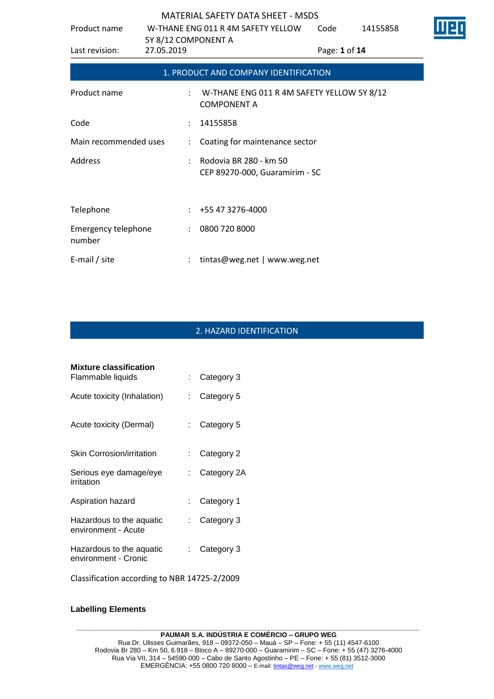| Product name                         | 5Y 8/12 COMPONENT A  | W-THANE ENG 011 R 4M SAFETY YELLOW                               | Code | 14155858      |  |  |
|--------------------------------------|----------------------|------------------------------------------------------------------|------|---------------|--|--|
| Last revision:                       | 27.05.2019           |                                                                  |      | Page: 1 of 14 |  |  |
|                                      |                      | 1. PRODUCT AND COMPANY IDENTIFICATION                            |      |               |  |  |
| Product name                         | $\ddot{\phantom{a}}$ | W-THANE ENG 011 R 4M SAFETY YELLOW 5Y 8/12<br><b>COMPONENT A</b> |      |               |  |  |
| Code                                 | $\ddot{\phantom{a}}$ | 14155858                                                         |      |               |  |  |
| Main recommended uses                |                      | Coating for maintenance sector                                   |      |               |  |  |
| Address                              |                      | Rodovia BR 280 - km 50<br>CEP 89270-000, Guaramirim - SC         |      |               |  |  |
| Telephone                            | $\mathcal{L}$        | +55 47 3276-4000                                                 |      |               |  |  |
| <b>Emergency telephone</b><br>number | $\ddot{\phantom{0}}$ | 0800 720 8000                                                    |      |               |  |  |
| E-mail / site                        |                      | tintas@weg.net   www.weg.net                                     |      |               |  |  |

# 2. HAZARD IDENTIFICATION

| <b>Mixture classification</b>                    |     |             |
|--------------------------------------------------|-----|-------------|
| Flammable liquids                                |     | Category 3  |
| Acute toxicity (Inhalation)                      | t.  | Category 5  |
| Acute toxicity (Dermal)                          | t i | Category 5  |
| Skin Corrosion/irritation                        |     | Category 2  |
| Serious eye damage/eye<br>irritation             | t.  | Category 2A |
| Aspiration hazard                                | t.  | Category 1  |
| Hazardous to the aquatic<br>environment - Acute  | t.  | Category 3  |
| Hazardous to the aquatic<br>environment - Cronic |     | Category 3  |
|                                                  |     |             |

Classification according to NBR 14725-2/2009

#### **Labelling Elements**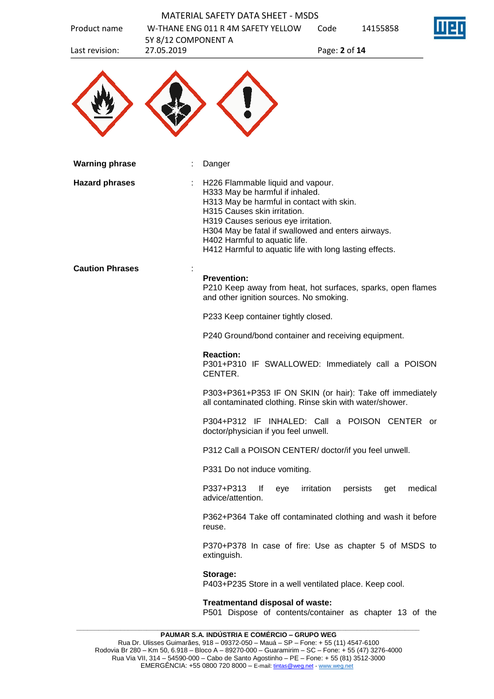|                        |                     | <b>MATERIAL SAFETY DATA SHEET - MSDS</b>                                                                                                                                                                                                                                                                                                   |               |                            |
|------------------------|---------------------|--------------------------------------------------------------------------------------------------------------------------------------------------------------------------------------------------------------------------------------------------------------------------------------------------------------------------------------------|---------------|----------------------------|
| Product name           | 5Y 8/12 COMPONENT A | W-THANE ENG 011 R 4M SAFETY YELLOW                                                                                                                                                                                                                                                                                                         | Code          | 14155858                   |
| Last revision:         | 27.05.2019          |                                                                                                                                                                                                                                                                                                                                            | Page: 2 of 14 |                            |
|                        |                     |                                                                                                                                                                                                                                                                                                                                            |               |                            |
| <b>Warning phrase</b>  |                     | Danger                                                                                                                                                                                                                                                                                                                                     |               |                            |
| <b>Hazard phrases</b>  |                     | H226 Flammable liquid and vapour.<br>H333 May be harmful if inhaled.<br>H313 May be harmful in contact with skin.<br>H315 Causes skin irritation.<br>H319 Causes serious eye irritation.<br>H304 May be fatal if swallowed and enters airways.<br>H402 Harmful to aquatic life.<br>H412 Harmful to aquatic life with long lasting effects. |               |                            |
| <b>Caution Phrases</b> |                     | <b>Prevention:</b><br>P210 Keep away from heat, hot surfaces, sparks, open flames<br>and other ignition sources. No smoking.                                                                                                                                                                                                               |               |                            |
|                        |                     | P233 Keep container tightly closed.                                                                                                                                                                                                                                                                                                        |               |                            |
|                        |                     | P240 Ground/bond container and receiving equipment.                                                                                                                                                                                                                                                                                        |               |                            |
|                        |                     | <b>Reaction:</b><br>P301+P310 IF SWALLOWED: Immediately call a POISON<br>CENTER.                                                                                                                                                                                                                                                           |               |                            |
|                        |                     | P303+P361+P353 IF ON SKIN (or hair): Take off immediately<br>all contaminated clothing. Rinse skin with water/shower.                                                                                                                                                                                                                      |               |                            |
|                        |                     | P304+P312 IF INHALED: Call a POISON CENTER or<br>doctor/physician if you feel unwell.                                                                                                                                                                                                                                                      |               |                            |
|                        |                     | P312 Call a POISON CENTER/ doctor/if you feel unwell.                                                                                                                                                                                                                                                                                      |               |                            |
|                        |                     | P331 Do not induce vomiting.                                                                                                                                                                                                                                                                                                               |               |                            |
|                        |                     | P337+P313<br>lf<br>eye<br>advice/attention.                                                                                                                                                                                                                                                                                                | irritation    | medical<br>persists<br>get |
|                        |                     | P362+P364 Take off contaminated clothing and wash it before<br>reuse.                                                                                                                                                                                                                                                                      |               |                            |
|                        |                     | P370+P378 In case of fire: Use as chapter 5 of MSDS to<br>extinguish.                                                                                                                                                                                                                                                                      |               |                            |
|                        |                     | Storage:<br>P403+P235 Store in a well ventilated place. Keep cool.                                                                                                                                                                                                                                                                         |               |                            |
|                        |                     | Treatmentand disposal of waste:<br>P501 Dispose of contents/container as chapter 13 of the                                                                                                                                                                                                                                                 |               |                            |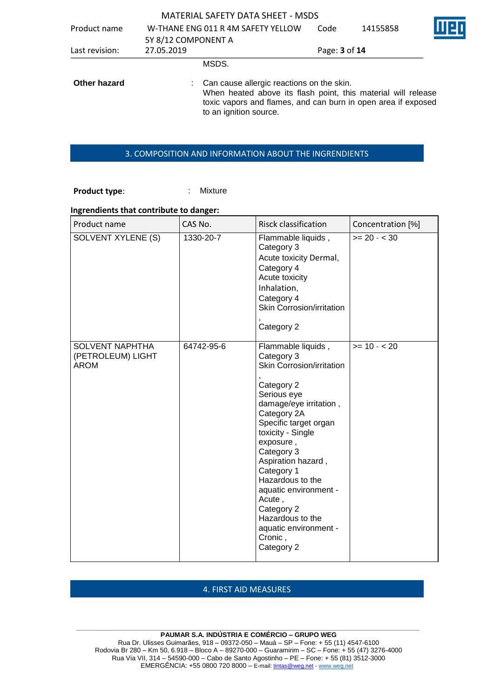|                |                     | <b>MATERIAL SAFETY DATA SHEET - MSDS</b>                                                                                                                                                              |               |          |  |
|----------------|---------------------|-------------------------------------------------------------------------------------------------------------------------------------------------------------------------------------------------------|---------------|----------|--|
| Product name   |                     | W-THANE ENG 011 R 4M SAFETY YELLOW                                                                                                                                                                    | Code          | 14155858 |  |
|                | 5Y 8/12 COMPONENT A |                                                                                                                                                                                                       |               |          |  |
| Last revision: | 27.05.2019          |                                                                                                                                                                                                       | Page: 3 of 14 |          |  |
|                |                     | MSDS.                                                                                                                                                                                                 |               |          |  |
| Other hazard   |                     | Can cause allergic reactions on the skin.<br>When heated above its flash point, this material will release<br>toxic vapors and flames, and can burn in open area if exposed<br>to an ignition source. |               |          |  |

## 3. COMPOSITION AND INFORMATION ABOUT THE INGRENDIENTS

## **Product type:** : Mixture

#### **Ingrendients that contribute to danger:**

| Product name                                               | CAS No.    | Risck classification                                                                                                                                                                                                                                                                                                                                                                        | Concentration [%] |
|------------------------------------------------------------|------------|---------------------------------------------------------------------------------------------------------------------------------------------------------------------------------------------------------------------------------------------------------------------------------------------------------------------------------------------------------------------------------------------|-------------------|
| SOLVENT XYLENE (S)                                         | 1330-20-7  | Flammable liquids,<br>Category 3<br>Acute toxicity Dermal,<br>Category 4<br>Acute toxicity<br>Inhalation,<br>Category 4<br>Skin Corrosion/irritation<br>Category 2                                                                                                                                                                                                                          | $>= 20 - < 30$    |
| <b>SOLVENT NAPHTHA</b><br>(PETROLEUM) LIGHT<br><b>AROM</b> | 64742-95-6 | Flammable liquids,<br>Category 3<br>Skin Corrosion/irritation<br>Category 2<br>Serious eye<br>damage/eye irritation,<br>Category 2A<br>Specific target organ<br>toxicity - Single<br>exposure,<br>Category 3<br>Aspiration hazard,<br>Category 1<br>Hazardous to the<br>aquatic environment -<br>Acute,<br>Category 2<br>Hazardous to the<br>aquatic environment -<br>Cronic,<br>Category 2 | $>= 10 - 20$      |

# 4. FIRST AID MEASURES

#### **\_\_\_\_\_\_\_\_\_\_\_\_\_\_\_\_\_\_\_\_\_\_\_\_\_\_\_\_\_\_\_\_\_\_\_\_\_\_\_\_\_\_\_\_\_\_\_\_\_\_\_\_\_\_\_\_\_\_\_\_\_\_\_\_\_\_\_\_\_\_\_\_\_\_\_\_\_\_\_\_\_\_\_\_\_\_\_\_\_\_\_\_\_ PAUMAR S.A. INDÚSTRIA E COMÉRCIO – GRUPO WEG**

Rua Dr. Ulisses Guimarães, 918 – 09372-050 – Mauá – SP – Fone: + 55 (11) 4547-6100 Rodovia Br 280 – Km 50, 6.918 – Bloco A – 89270-000 – Guaramirim – SC – Fone: + 55 (47) 3276-4000 Rua Via VII, 314 – 54590-000 – Cabo de Santo Agostinho – PE – Fone: + 55 (81) 3512-3000 EMERGËNCIA: +55 0800 720 8000 – E-mail[: tintas@weg.net](mailto:tintas@weg.net) - [www.weg.net](http://www.weg.net/)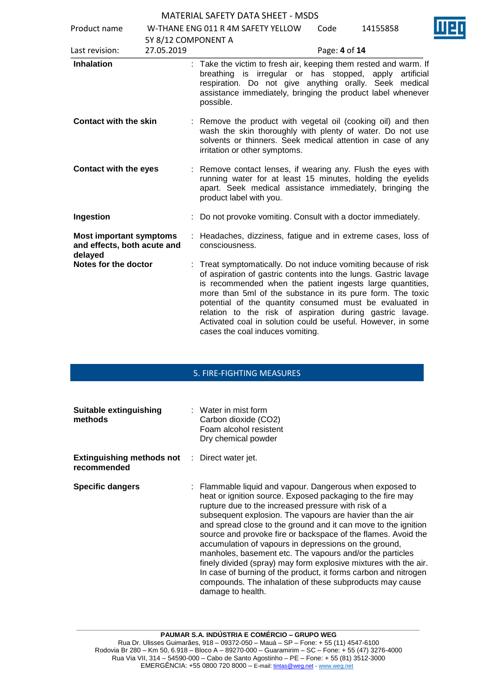| Product name                                                             |                     | W-THANE ENG 011 R 4M SAFETY YELLOW<br>Code<br>14155858                                                                                                                                                                                                                                                                                                                                                                                                                                   |
|--------------------------------------------------------------------------|---------------------|------------------------------------------------------------------------------------------------------------------------------------------------------------------------------------------------------------------------------------------------------------------------------------------------------------------------------------------------------------------------------------------------------------------------------------------------------------------------------------------|
|                                                                          | 5Y 8/12 COMPONENT A |                                                                                                                                                                                                                                                                                                                                                                                                                                                                                          |
| Last revision:                                                           | 27.05.2019          | Page: 4 of 14                                                                                                                                                                                                                                                                                                                                                                                                                                                                            |
| <b>Inhalation</b>                                                        |                     | : Take the victim to fresh air, keeping them rested and warm. If<br>breathing is irregular or has stopped, apply artificial<br>respiration. Do not give anything orally. Seek medical<br>assistance immediately, bringing the product label whenever<br>possible.                                                                                                                                                                                                                        |
| <b>Contact with the skin</b>                                             |                     | : Remove the product with vegetal oil (cooking oil) and then<br>wash the skin thoroughly with plenty of water. Do not use<br>solvents or thinners. Seek medical attention in case of any<br>irritation or other symptoms.                                                                                                                                                                                                                                                                |
| <b>Contact with the eyes</b>                                             |                     | : Remove contact lenses, if wearing any. Flush the eyes with<br>running water for at least 15 minutes, holding the eyelids<br>apart. Seek medical assistance immediately, bringing the<br>product label with you.                                                                                                                                                                                                                                                                        |
| Ingestion                                                                |                     | : Do not provoke vomiting. Consult with a doctor immediately.                                                                                                                                                                                                                                                                                                                                                                                                                            |
| <b>Most important symptoms</b><br>and effects, both acute and<br>delayed |                     | : Headaches, dizziness, fatigue and in extreme cases, loss of<br>consciousness.                                                                                                                                                                                                                                                                                                                                                                                                          |
| Notes for the doctor                                                     |                     | Treat symptomatically. Do not induce vomiting because of risk<br>of aspiration of gastric contents into the lungs. Gastric lavage<br>is recommended when the patient ingests large quantities,<br>more than 5ml of the substance in its pure form. The toxic<br>potential of the quantity consumed must be evaluated in<br>relation to the risk of aspiration during gastric lavage.<br>Activated coal in solution could be useful. However, in some<br>cases the coal induces vomiting. |

# 5. FIRE-FIGHTING MEASURES

| Suitable extinguishing<br>methods                                   | $\therefore$ Water in mist form<br>Carbon dioxide (CO2)<br>Foam alcohol resistent<br>Dry chemical powder                                                                                                                                                                                                                                                                                                                                                                                                                                                                                                                                                                                                                    |
|---------------------------------------------------------------------|-----------------------------------------------------------------------------------------------------------------------------------------------------------------------------------------------------------------------------------------------------------------------------------------------------------------------------------------------------------------------------------------------------------------------------------------------------------------------------------------------------------------------------------------------------------------------------------------------------------------------------------------------------------------------------------------------------------------------------|
| <b>Extinguishing methods not</b> : Direct water jet.<br>recommended |                                                                                                                                                                                                                                                                                                                                                                                                                                                                                                                                                                                                                                                                                                                             |
| <b>Specific dangers</b>                                             | : Flammable liquid and vapour. Dangerous when exposed to<br>heat or ignition source. Exposed packaging to the fire may<br>rupture due to the increased pressure with risk of a<br>subsequent explosion. The vapours are havier than the air<br>and spread close to the ground and it can move to the ignition<br>source and provoke fire or backspace of the flames. Avoid the<br>accumulation of vapours in depressions on the ground,<br>manholes, basement etc. The vapours and/or the particles<br>finely divided (spray) may form explosive mixtures with the air.<br>In case of burning of the product, it forms carbon and nitrogen<br>compounds. The inhalation of these subproducts may cause<br>damage to health. |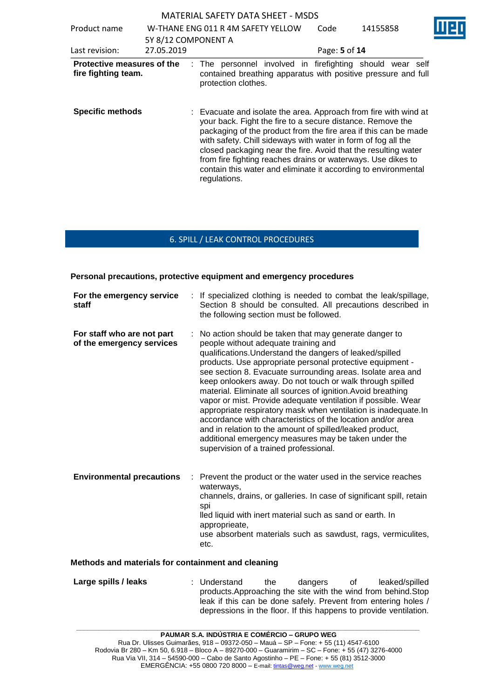MATERIAL SAFETY DATA SHEET - MSDS Product name W-THANE ENG 011 R 4M SAFETY YELLOW 5Y 8/12 COMPONENT A Code 14155858 Last revision: 27.05.2019 Page: **5** of **14 Protective measures of the fire fighting team.** : The personnel involved in firefighting should wear self contained breathing apparatus with positive pressure and full protection clothes. **Specific methods** : Evacuate and isolate the area. Approach from fire with wind at your back. Fight the fire to a secure distance. Remove the packaging of the product from the fire area if this can be made with safety. Chill sideways with water in form of fog all the closed packaging near the fire. Avoid that the resulting water from fire fighting reaches drains or waterways. Use dikes to contain this water and eliminate it according to environmental regulations.

# 6. SPILL / LEAK CONTROL PROCEDURES

#### **Personal precautions, protective equipment and emergency procedures**

| For the emergency service<br>staff                      | : If specialized clothing is needed to combat the leak/spillage,<br>Section 8 should be consulted. All precautions described in<br>the following section must be followed.                                                                                                                                                                                                                                                                                                                                                                                                                                                                                                                                                                                                         |
|---------------------------------------------------------|------------------------------------------------------------------------------------------------------------------------------------------------------------------------------------------------------------------------------------------------------------------------------------------------------------------------------------------------------------------------------------------------------------------------------------------------------------------------------------------------------------------------------------------------------------------------------------------------------------------------------------------------------------------------------------------------------------------------------------------------------------------------------------|
| For staff who are not part<br>of the emergency services | No action should be taken that may generate danger to<br>people without adequate training and<br>qualifications. Understand the dangers of leaked/spilled<br>products. Use appropriate personal protective equipment -<br>see section 8. Evacuate surrounding areas. Isolate area and<br>keep onlookers away. Do not touch or walk through spilled<br>material. Eliminate all sources of ignition. Avoid breathing<br>vapor or mist. Provide adequate ventilation if possible. Wear<br>appropriate respiratory mask when ventilation is inadequate.In<br>accordance with characteristics of the location and/or area<br>and in relation to the amount of spilled/leaked product,<br>additional emergency measures may be taken under the<br>supervision of a trained professional. |
| <b>Environmental precautions</b><br>÷.                  | Prevent the product or the water used in the service reaches<br>waterways,<br>channels, drains, or galleries. In case of significant spill, retain<br>spi<br>lled liquid with inert material such as sand or earth. In<br>approprieate,<br>use absorbent materials such as sawdust, rags, vermiculites,<br>etc.                                                                                                                                                                                                                                                                                                                                                                                                                                                                    |

#### **Methods and materials for containment and cleaning**

**Large spills / leaks** : Understand the dangers of leaked/spilled products.Approaching the site with the wind from behind.Stop leak if this can be done safely. Prevent from entering holes / depressions in the floor. If this happens to provide ventilation.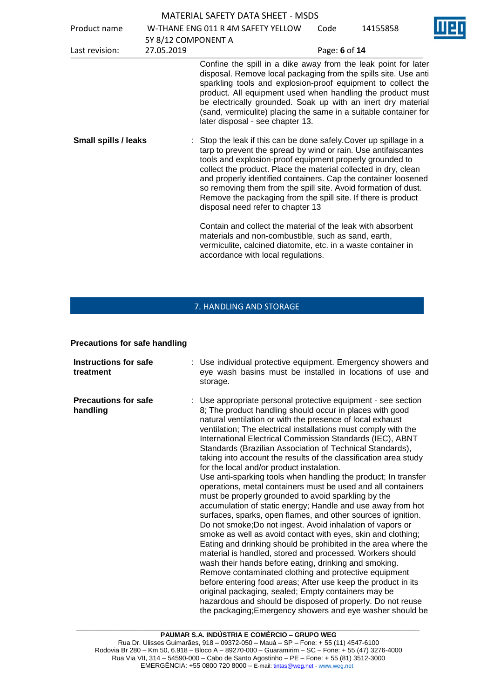| Product name                |                     | W-THANE ENG 011 R 4M SAFETY YELLOW                                                                                                                                                                                                                                                                                                                                                                                                                                                                            | Code          | 14155858 |
|-----------------------------|---------------------|---------------------------------------------------------------------------------------------------------------------------------------------------------------------------------------------------------------------------------------------------------------------------------------------------------------------------------------------------------------------------------------------------------------------------------------------------------------------------------------------------------------|---------------|----------|
|                             | 5Y 8/12 COMPONENT A |                                                                                                                                                                                                                                                                                                                                                                                                                                                                                                               |               |          |
| Last revision:              | 27.05.2019          |                                                                                                                                                                                                                                                                                                                                                                                                                                                                                                               | Page: 6 of 14 |          |
|                             |                     | Confine the spill in a dike away from the leak point for later<br>disposal. Remove local packaging from the spills site. Use anti<br>sparkling tools and explosion-proof equipment to collect the<br>product. All equipment used when handling the product must<br>be electrically grounded. Soak up with an inert dry material<br>(sand, vermiculite) placing the same in a suitable container for<br>later disposal - see chapter 13.                                                                       |               |          |
| <b>Small spills / leaks</b> |                     | : Stop the leak if this can be done safely. Cover up spillage in a<br>tarp to prevent the spread by wind or rain. Use antifaiscantes<br>tools and explosion-proof equipment properly grounded to<br>collect the product. Place the material collected in dry, clean<br>and properly identified containers. Cap the container loosened<br>so removing them from the spill site. Avoid formation of dust.<br>Remove the packaging from the spill site. If there is product<br>disposal need refer to chapter 13 |               |          |
|                             |                     | Contain and collect the material of the leak with absorbent<br>materials and non-combustible, such as sand, earth,<br>vermiculite, calcined diatomite, etc. in a waste container in<br>accordance with local regulations.                                                                                                                                                                                                                                                                                     |               |          |

# 7. HANDLING AND STORAGE

#### **Precautions for safe handling**

| <b>Instructions for safe</b><br>treatment | : Use individual protective equipment. Emergency showers and<br>eye wash basins must be installed in locations of use and<br>storage.                                                                                                                                                                                                                                                                                                                                                                                                                                                                                                                                                                                                                                                                                                                                                                                                                                                                                                                                                                                                                                                                                                                                                                                                                                                                                                                          |
|-------------------------------------------|----------------------------------------------------------------------------------------------------------------------------------------------------------------------------------------------------------------------------------------------------------------------------------------------------------------------------------------------------------------------------------------------------------------------------------------------------------------------------------------------------------------------------------------------------------------------------------------------------------------------------------------------------------------------------------------------------------------------------------------------------------------------------------------------------------------------------------------------------------------------------------------------------------------------------------------------------------------------------------------------------------------------------------------------------------------------------------------------------------------------------------------------------------------------------------------------------------------------------------------------------------------------------------------------------------------------------------------------------------------------------------------------------------------------------------------------------------------|
| <b>Precautions for safe</b><br>handling   | : Use appropriate personal protective equipment - see section<br>8; The product handling should occur in places with good<br>natural ventilation or with the presence of local exhaust<br>ventilation; The electrical installations must comply with the<br>International Electrical Commission Standards (IEC), ABNT<br>Standards (Brazilian Association of Technical Standards),<br>taking into account the results of the classification area study<br>for the local and/or product instalation.<br>Use anti-sparking tools when handling the product; In transfer<br>operations, metal containers must be used and all containers<br>must be properly grounded to avoid sparkling by the<br>accumulation of static energy; Handle and use away from hot<br>surfaces, sparks, open flames, and other sources of ignition.<br>Do not smoke; Do not ingest. Avoid inhalation of vapors or<br>smoke as well as avoid contact with eyes, skin and clothing;<br>Eating and drinking should be prohibited in the area where the<br>material is handled, stored and processed. Workers should<br>wash their hands before eating, drinking and smoking.<br>Remove contaminated clothing and protective equipment<br>before entering food areas; After use keep the product in its<br>original packaging, sealed; Empty containers may be<br>hazardous and should be disposed of properly. Do not reuse<br>the packaging; Emergency showers and eye washer should be |

**\_\_\_\_\_\_\_\_\_\_\_\_\_\_\_\_\_\_\_\_\_\_\_\_\_\_\_\_\_\_\_\_\_\_\_\_\_\_\_\_\_\_\_\_\_\_\_\_\_\_\_\_\_\_\_\_\_\_\_\_\_\_\_\_\_\_\_\_\_\_\_\_\_\_\_\_\_\_\_\_\_\_\_\_\_\_\_\_\_\_\_\_\_**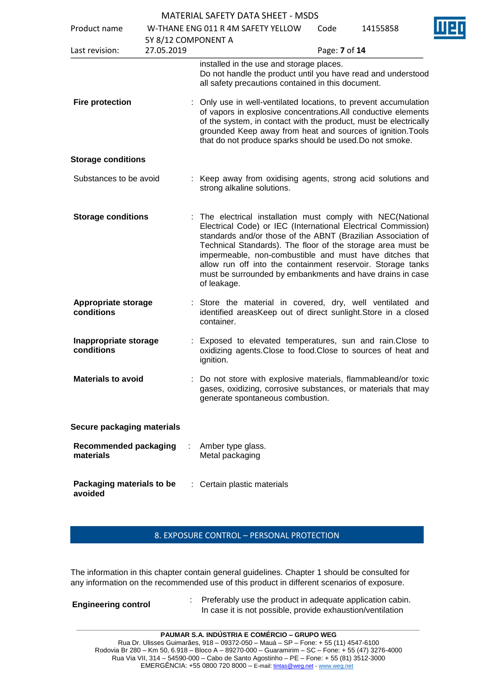| Product name                              |                                   | W-THANE ENG 011 R 4M SAFETY YELLOW                                                                                                                                                                                                                                                                                                                                                                                                                              | Code          | 14155858 |  |
|-------------------------------------------|-----------------------------------|-----------------------------------------------------------------------------------------------------------------------------------------------------------------------------------------------------------------------------------------------------------------------------------------------------------------------------------------------------------------------------------------------------------------------------------------------------------------|---------------|----------|--|
| Last revision:                            | 5Y 8/12 COMPONENT A<br>27.05.2019 |                                                                                                                                                                                                                                                                                                                                                                                                                                                                 | Page: 7 of 14 |          |  |
| <b>Fire protection</b>                    |                                   | installed in the use and storage places.<br>Do not handle the product until you have read and understood<br>all safety precautions contained in this document.<br>Only use in well-ventilated locations, to prevent accumulation                                                                                                                                                                                                                                |               |          |  |
|                                           |                                   | of vapors in explosive concentrations. All conductive elements<br>of the system, in contact with the product, must be electrically<br>grounded Keep away from heat and sources of ignition. Tools<br>that do not produce sparks should be used. Do not smoke.                                                                                                                                                                                                   |               |          |  |
| <b>Storage conditions</b>                 |                                   |                                                                                                                                                                                                                                                                                                                                                                                                                                                                 |               |          |  |
| Substances to be avoid                    |                                   | : Keep away from oxidising agents, strong acid solutions and<br>strong alkaline solutions.                                                                                                                                                                                                                                                                                                                                                                      |               |          |  |
| <b>Storage conditions</b>                 |                                   | The electrical installation must comply with NEC(National<br>Electrical Code) or IEC (International Electrical Commission)<br>standards and/or those of the ABNT (Brazilian Association of<br>Technical Standards). The floor of the storage area must be<br>impermeable, non-combustible and must have ditches that<br>allow run off into the containment reservoir. Storage tanks<br>must be surrounded by embankments and have drains in case<br>of leakage. |               |          |  |
| <b>Appropriate storage</b><br>conditions  |                                   | Store the material in covered, dry, well ventilated and<br>identified areasKeep out of direct sunlight. Store in a closed<br>container.                                                                                                                                                                                                                                                                                                                         |               |          |  |
| Inappropriate storage<br>conditions       |                                   | Exposed to elevated temperatures, sun and rain. Close to<br>oxidizing agents. Close to food. Close to sources of heat and<br>ignition.                                                                                                                                                                                                                                                                                                                          |               |          |  |
| <b>Materials to avoid</b>                 |                                   | Do not store with explosive materials, flammableand/or toxic<br>gases, oxidizing, corrosive substances, or materials that may<br>generate spontaneous combustion.                                                                                                                                                                                                                                                                                               |               |          |  |
| Secure packaging materials                |                                   |                                                                                                                                                                                                                                                                                                                                                                                                                                                                 |               |          |  |
| <b>Recommended packaging</b><br>materials |                                   | Amber type glass.<br>Metal packaging                                                                                                                                                                                                                                                                                                                                                                                                                            |               |          |  |
| Packaging materials to be<br>avoided      |                                   | Certain plastic materials                                                                                                                                                                                                                                                                                                                                                                                                                                       |               |          |  |

8. EXPOSURE CONTROL – PERSONAL PROTECTION

The information in this chapter contain general guidelines. Chapter 1 should be consulted for any information on the recommended use of this product in different scenarios of exposure.

**Engineering control :** Preferably use the product in adequate application cabin. In case it is not possible, provide exhaustion/ventilation

**\_\_\_\_\_\_\_\_\_\_\_\_\_\_\_\_\_\_\_\_\_\_\_\_\_\_\_\_\_\_\_\_\_\_\_\_\_\_\_\_\_\_\_\_\_\_\_\_\_\_\_\_\_\_\_\_\_\_\_\_\_\_\_\_\_\_\_\_\_\_\_\_\_\_\_\_\_\_\_\_\_\_\_\_\_\_\_\_\_\_\_\_\_**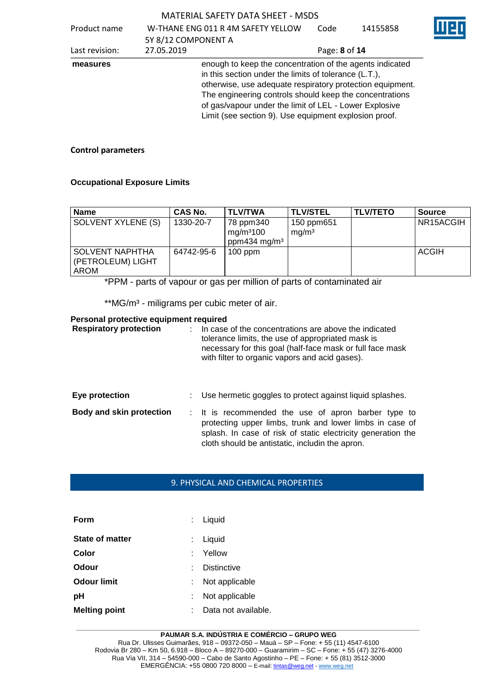| Product name | W-THANE ENG 011 R 4M SAFETY YELLOW | Code |  |
|--------------|------------------------------------|------|--|
|              | 5Y 8/12 COMPONENT A                |      |  |

14155858

|                | 5Y 8/12 COMPONENT A |                                                                                                                                                                                                                                                                                                                                                              |  |  |
|----------------|---------------------|--------------------------------------------------------------------------------------------------------------------------------------------------------------------------------------------------------------------------------------------------------------------------------------------------------------------------------------------------------------|--|--|
| Last revision: | 27.05.2019          | Page: 8 of 14                                                                                                                                                                                                                                                                                                                                                |  |  |
| measures       |                     | enough to keep the concentration of the agents indicated<br>in this section under the limits of tolerance (L.T.),<br>otherwise, use adequate respiratory protection equipment.<br>The engineering controls should keep the concentrations<br>of gas/vapour under the limit of LEL - Lower Explosive<br>Limit (see section 9). Use equipment explosion proof. |  |  |

# **Control parameters**

## **Occupational Exposure Limits**

| Name                                                | <b>CAS No.</b> | <b>TLV/TWA</b>                     | I TLV/STEL                      | <b>TLV/TETO</b> | <b>Source</b> |
|-----------------------------------------------------|----------------|------------------------------------|---------------------------------|-----------------|---------------|
| SOLVENT XYLENE (S)                                  | 1330-20-7      | 78 ppm340<br>mg/m <sup>3</sup> 100 | 150 ppm651<br>mg/m <sup>3</sup> |                 | NR15ACGIH     |
|                                                     |                | ppm434 mg/m <sup>3</sup>           |                                 |                 |               |
| <b>SOLVENT NAPHTHA</b><br>(PETROLEUM) LIGHT<br>AROM | 64742-95-6     | $100$ ppm                          |                                 |                 | ACGIH         |

\*PPM - parts of vapour or gas per million of parts of contaminated air

\*\* MG/m<sup>3</sup> - miligrams per cubic meter of air.

#### **Personal protective equipment required**

| <b>Respiratory protection</b>   | In case of the concentrations are above the indicated<br>tolerance limits, the use of appropriated mask is<br>necessary for this goal (half-face mask or full face mask<br>with filter to organic vapors and acid gases).          |
|---------------------------------|------------------------------------------------------------------------------------------------------------------------------------------------------------------------------------------------------------------------------------|
| Eye protection                  | Use hermetic goggles to protect against liquid splashes.                                                                                                                                                                           |
| <b>Body and skin protection</b> | : It is recommended the use of apron barber type to<br>protecting upper limbs, trunk and lower limbs in case of<br>splash. In case of risk of static electricity generation the<br>cloth should be antistatic, includin the apron. |

## 9. PHYSICAL AND CHEMICAL PROPERTIES

| Form                 | : Liquid            |
|----------------------|---------------------|
| State of matter      | Liquid              |
| Color                | Yellow              |
| Odour                | <b>Distinctive</b>  |
| <b>Odour limit</b>   | Not applicable      |
| рH                   | Not applicable      |
| <b>Melting point</b> | Data not available. |

#### **\_\_\_\_\_\_\_\_\_\_\_\_\_\_\_\_\_\_\_\_\_\_\_\_\_\_\_\_\_\_\_\_\_\_\_\_\_\_\_\_\_\_\_\_\_\_\_\_\_\_\_\_\_\_\_\_\_\_\_\_\_\_\_\_\_\_\_\_\_\_\_\_\_\_\_\_\_\_\_\_\_\_\_\_\_\_\_\_\_\_\_\_\_ PAUMAR S.A. INDÚSTRIA E COMÉRCIO – GRUPO WEG**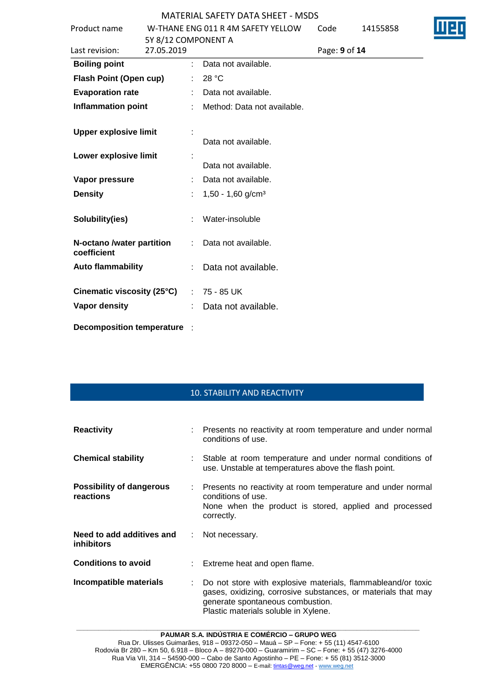| Product name                             | W-THANE ENG 011 R 4M SAFETY YELLOW<br>5Y 8/12 COMPONENT A |                                 | Code          | 14155858 |  |
|------------------------------------------|-----------------------------------------------------------|---------------------------------|---------------|----------|--|
| Last revision:                           | 27.05.2019                                                |                                 | Page: 9 of 14 |          |  |
| <b>Boiling point</b>                     | ÷.                                                        | Data not available.             |               |          |  |
| <b>Flash Point (Open cup)</b>            |                                                           | 28 °C                           |               |          |  |
| <b>Evaporation rate</b>                  |                                                           | Data not available.             |               |          |  |
| <b>Inflammation point</b>                |                                                           | Method: Data not available.     |               |          |  |
| <b>Upper explosive limit</b>             |                                                           | Data not available.             |               |          |  |
| Lower explosive limit                    |                                                           | Data not available.             |               |          |  |
| Vapor pressure                           |                                                           | Data not available.             |               |          |  |
| <b>Density</b>                           |                                                           | $1,50 - 1,60$ g/cm <sup>3</sup> |               |          |  |
| Solubility(ies)                          |                                                           | Water-insoluble                 |               |          |  |
| N-octano /water partition<br>coefficient |                                                           | Data not available.             |               |          |  |
| <b>Auto flammability</b>                 |                                                           | Data not available.             |               |          |  |
| Cinematic viscosity (25°C)               |                                                           | 75 - 85 UK                      |               |          |  |
| <b>Vapor density</b>                     |                                                           | Data not available.             |               |          |  |
| <b>Decomposition temperature</b>         |                                                           |                                 |               |          |  |

# 10. STABILITY AND REACTIVITY

| <b>Reactivity</b>                              | : Presents no reactivity at room temperature and under normal<br>conditions of use.                                                                                                                       |  |
|------------------------------------------------|-----------------------------------------------------------------------------------------------------------------------------------------------------------------------------------------------------------|--|
| <b>Chemical stability</b>                      | Stable at room temperature and under normal conditions of<br>use. Unstable at temperatures above the flash point.                                                                                         |  |
| Possibility of dangerous<br>reactions          | : Presents no reactivity at room temperature and under normal<br>conditions of use.<br>None when the product is stored, applied and processed<br>correctly.                                               |  |
| Need to add additives and<br><i>inhibitors</i> | : Not necessary.                                                                                                                                                                                          |  |
| <b>Conditions to avoid</b>                     | : Extreme heat and open flame.                                                                                                                                                                            |  |
| Incompatible materials                         | Do not store with explosive materials, flammableand/or toxic<br>gases, oxidizing, corrosive substances, or materials that may<br>generate spontaneous combustion.<br>Plastic materials soluble in Xylene. |  |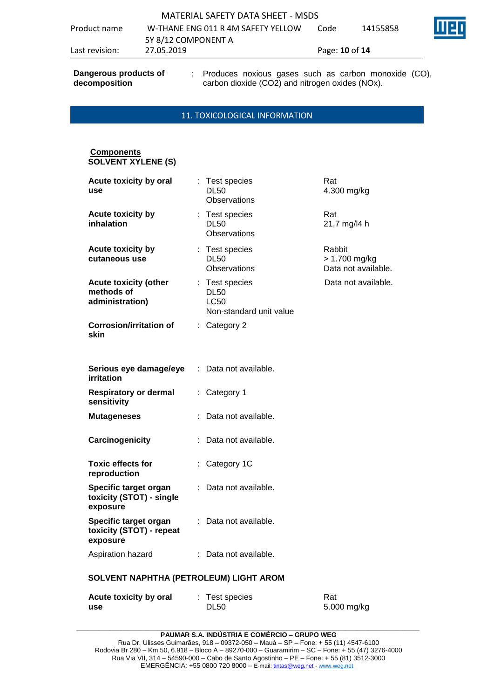| Last revision: | 27.05.2019                         | Page: <b>10</b> of <b>14</b> |          |        |
|----------------|------------------------------------|------------------------------|----------|--------|
|                | 5Y 8/12 COMPONENT A                |                              |          |        |
| Product name   | W-THANE ENG 011 R 4M SAFETY YELLOW | Code                         | 14155858 | I II E |
|                | MATERIAL SAFETY DATA SHEET - MSDS  |                              |          |        |

**Dangerous products of decomposition**

: Produces noxious gases such as carbon monoxide (CO), carbon dioxide (CO2) and nitrogen oxides (NOx).

#### 11. TOXICOLOGICAL INFORMATION

# **Components SOLVENT XYLENE (S)**

| Acute toxicity by oral<br>use                                 |    | : Test species<br><b>DL50</b><br><b>Observations</b>                    | Rat<br>4.300 mg/kg                             |  |
|---------------------------------------------------------------|----|-------------------------------------------------------------------------|------------------------------------------------|--|
| Acute toxicity by<br>inhalation                               |    | : Test species<br><b>DL50</b><br>Observations                           | Rat<br>21,7 mg/l4 h                            |  |
| <b>Acute toxicity by</b><br>cutaneous use                     |    | : Test species<br><b>DL50</b><br><b>Observations</b>                    | Rabbit<br>> 1.700 mg/kg<br>Data not available. |  |
| <b>Acute toxicity (other</b><br>methods of<br>administration) |    | : Test species<br><b>DL50</b><br><b>LC50</b><br>Non-standard unit value | Data not available.                            |  |
| <b>Corrosion/irritation of</b><br>skin                        |    | : Category 2                                                            |                                                |  |
| Serious eye damage/eye<br>irritation                          | ÷. | Data not available.                                                     |                                                |  |
| <b>Respiratory or dermal</b><br>sensitivity                   |    | : Category 1                                                            |                                                |  |
| <b>Mutageneses</b>                                            |    | Data not available.                                                     |                                                |  |
| Carcinogenicity                                               |    | Data not available.                                                     |                                                |  |
| <b>Toxic effects for</b><br>reproduction                      |    | : Category 1C                                                           |                                                |  |
| Specific target organ<br>toxicity (STOT) - single<br>exposure |    | : Data not available.                                                   |                                                |  |
| Specific target organ<br>toxicity (STOT) - repeat<br>exposure |    | : Data not available.                                                   |                                                |  |
| Aspiration hazard                                             |    | : Data not available.                                                   |                                                |  |
| SOLVENT NAPHTHA (PETROLEUM) LIGHT AROM                        |    |                                                                         |                                                |  |

| Acute toxicity by oral | : Test species | Rat         |
|------------------------|----------------|-------------|
| use                    | <b>DL50</b>    | 5.000 mg/kg |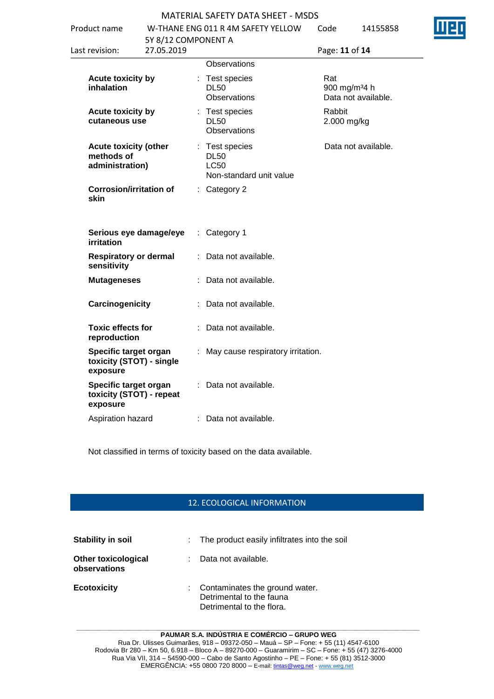| ENG 011 R 4M SAFETY YELLOW | Code |
|----------------------------|------|
|                            |      |

| W-THANE ENG 011 R 4M SAFETY YELLOW<br>Product name            |                                   |  |                                                                         | Code                            | 14155858            |  |
|---------------------------------------------------------------|-----------------------------------|--|-------------------------------------------------------------------------|---------------------------------|---------------------|--|
| Last revision:                                                | 5Y 8/12 COMPONENT A<br>27.05.2019 |  |                                                                         | Page: 11 of 14                  |                     |  |
|                                                               |                                   |  | Observations                                                            |                                 |                     |  |
| <b>Acute toxicity by</b><br><b>inhalation</b>                 |                                   |  | : Test species<br><b>DL50</b><br>Observations                           | Rat<br>900 mg/m <sup>34</sup> h | Data not available. |  |
| <b>Acute toxicity by</b><br>cutaneous use                     |                                   |  | : Test species<br><b>DL50</b><br><b>Observations</b>                    | Rabbit<br>2.000 mg/kg           |                     |  |
| <b>Acute toxicity (other</b><br>methods of<br>administration) |                                   |  | : Test species<br><b>DL50</b><br><b>LC50</b><br>Non-standard unit value |                                 | Data not available. |  |
| <b>Corrosion/irritation of</b><br>skin                        |                                   |  | : Category 2                                                            |                                 |                     |  |
| Serious eye damage/eye<br>irritation                          |                                   |  | : Category 1                                                            |                                 |                     |  |
| <b>Respiratory or dermal</b><br>sensitivity                   |                                   |  | : Data not available.                                                   |                                 |                     |  |
| <b>Mutageneses</b>                                            |                                   |  | : Data not available.                                                   |                                 |                     |  |
|                                                               | Carcinogenicity                   |  | Data not available.                                                     |                                 |                     |  |
| <b>Toxic effects for</b><br>reproduction                      |                                   |  | Data not available.                                                     |                                 |                     |  |
| Specific target organ<br>toxicity (STOT) - single<br>exposure |                                   |  | : May cause respiratory irritation.                                     |                                 |                     |  |
| Specific target organ<br>toxicity (STOT) - repeat<br>exposure |                                   |  | Data not available.                                                     |                                 |                     |  |
| Aspiration hazard                                             |                                   |  | : Data not available.                                                   |                                 |                     |  |
|                                                               |                                   |  |                                                                         |                                 |                     |  |

Not classified in terms of toxicity based on the data available.

# 12. ECOLOGICAL INFORMATION

| Stability in soil                          |    | : The product easily infiltrates into the soil                                          |
|--------------------------------------------|----|-----------------------------------------------------------------------------------------|
| <b>Other toxicological</b><br>observations | t. | Data not available.                                                                     |
| <b>Ecotoxicity</b>                         |    | Contaminates the ground water.<br>Detrimental to the fauna<br>Detrimental to the flora. |



 $14155858$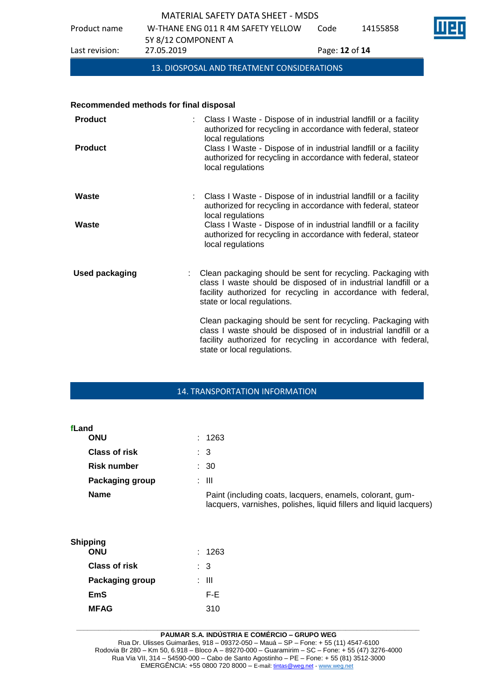Product name W-THANE ENG 011 R 4M SAFETY YELLOW Code 14155858



5Y 8/12 COMPONENT A Last revision: 27.05.2019 Page: **12** of **14**

13. DIOSPOSAL AND TREATMENT CONSIDERATIONS

## **Recommended methods for final disposal**

| <b>Product</b><br><b>Product</b> | Class I Waste - Dispose of in industrial landfill or a facility<br>authorized for recycling in accordance with federal, stateor<br>local regulations<br>Class I Waste - Dispose of in industrial landfill or a facility<br>authorized for recycling in accordance with federal, stateor<br>local regulations |
|----------------------------------|--------------------------------------------------------------------------------------------------------------------------------------------------------------------------------------------------------------------------------------------------------------------------------------------------------------|
| Waste                            | Class I Waste - Dispose of in industrial landfill or a facility<br>authorized for recycling in accordance with federal, stateor<br>local regulations                                                                                                                                                         |
| Waste                            | Class I Waste - Dispose of in industrial landfill or a facility<br>authorized for recycling in accordance with federal, stateor<br>local regulations                                                                                                                                                         |
| <b>Used packaging</b>            | Clean packaging should be sent for recycling. Packaging with<br>class I waste should be disposed of in industrial landfill or a<br>facility authorized for recycling in accordance with federal,<br>state or local regulations.                                                                              |
|                                  | Clean packaging should be sent for recycling. Packaging with<br>class I waste should be disposed of in industrial landfill or a<br>facility authorized for recycling in accordance with federal,<br>state or local regulations.                                                                              |

## 14. TRANSPORTATION INFORMATION

| fLand                  |                                                                                                                                 |
|------------------------|---------------------------------------------------------------------------------------------------------------------------------|
| ONU                    | : 1263                                                                                                                          |
| <b>Class of risk</b>   | : 3                                                                                                                             |
| <b>Risk number</b>     | : 30                                                                                                                            |
| <b>Packaging group</b> | : III                                                                                                                           |
| <b>Name</b>            | Paint (including coats, lacquers, enamels, colorant, gum-<br>lacquers, varnishes, polishes, liquid fillers and liquid lacquers) |

| Shipping        |        |
|-----------------|--------|
| <b>ONU</b>      | : 1263 |
| Class of risk   | : 3    |
| Packaging group | : III  |
| EmS             | F-E    |
| <b>MFAG</b>     | 310    |
|                 |        |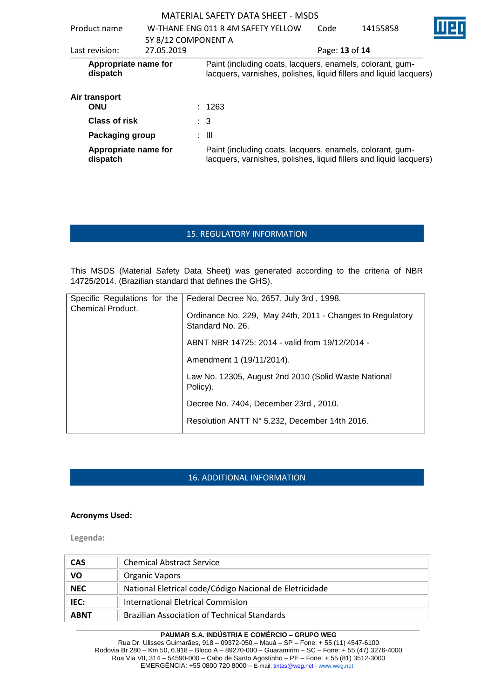|                                  |                     | MATERIAL SAFETY DATA SHEET - MSDS                                                                                               |                |          |   |
|----------------------------------|---------------------|---------------------------------------------------------------------------------------------------------------------------------|----------------|----------|---|
| Product name                     |                     | W-THANE ENG 011 R 4M SAFETY YELLOW                                                                                              | Code           | 14155858 | Π |
|                                  | 5Y 8/12 COMPONENT A |                                                                                                                                 |                |          |   |
| Last revision:                   | 27.05.2019          |                                                                                                                                 | Page: 13 of 14 |          |   |
| Appropriate name for<br>dispatch |                     | Paint (including coats, lacquers, enamels, colorant, gum-<br>lacquers, varnishes, polishes, liquid fillers and liquid lacquers) |                |          |   |
| Air transport<br><b>ONU</b>      |                     | : 1263                                                                                                                          |                |          |   |
| Class of risk                    |                     | $\therefore$ 3                                                                                                                  |                |          |   |
| Packaging group                  |                     | $\pm$ 111                                                                                                                       |                |          |   |
| Appropriate name for<br>dispatch |                     | Paint (including coats, lacquers, enamels, colorant, gum-<br>lacquers, varnishes, polishes, liquid fillers and liquid lacquers) |                |          |   |

# 15. REGULATORY INFORMATION

This MSDS (Material Safety Data Sheet) was generated according to the criteria of NBR 14725/2014. (Brazilian standard that defines the GHS).

|                          | Specific Regulations for the   Federal Decree No. 2657, July 3rd, 1998.       |
|--------------------------|-------------------------------------------------------------------------------|
| <b>Chemical Product.</b> | Ordinance No. 229, May 24th, 2011 - Changes to Regulatory<br>Standard No. 26. |
|                          | ABNT NBR 14725: 2014 - valid from 19/12/2014 -                                |
|                          | Amendment 1 (19/11/2014).                                                     |
|                          | Law No. 12305, August 2nd 2010 (Solid Waste National<br>Policy).              |
|                          | Decree No. 7404, December 23rd, 2010.                                         |
|                          | Resolution ANTT N° 5.232, December 14th 2016.                                 |

# 16. ADDITIONAL INFORMATION

#### **Acronyms Used:**

**Legenda:**

| <b>CAS</b>  | <b>Chemical Abstract Service</b>                        |  |
|-------------|---------------------------------------------------------|--|
| VO          | <b>Organic Vapors</b>                                   |  |
| <b>NEC</b>  | National Eletrical code/Código Nacional de Eletricidade |  |
| IEC:        | International Eletrical Commision                       |  |
| <b>ARNT</b> | <b>Brazilian Association of Technical Standards</b>     |  |

#### **\_\_\_\_\_\_\_\_\_\_\_\_\_\_\_\_\_\_\_\_\_\_\_\_\_\_\_\_\_\_\_\_\_\_\_\_\_\_\_\_\_\_\_\_\_\_\_\_\_\_\_\_\_\_\_\_\_\_\_\_\_\_\_\_\_\_\_\_\_\_\_\_\_\_\_\_\_\_\_\_\_\_\_\_\_\_\_\_\_\_\_\_\_ PAUMAR S.A. INDÚSTRIA E COMÉRCIO – GRUPO WEG**

Rua Dr. Ulisses Guimarães, 918 – 09372-050 – Mauá – SP – Fone: + 55 (11) 4547-6100 Rodovia Br 280 – Km 50, 6.918 – Bloco A – 89270-000 – Guaramirim – SC – Fone: + 55 (47) 3276-4000 Rua Via VII, 314 – 54590-000 – Cabo de Santo Agostinho – PE – Fone: + 55 (81) 3512-3000 EMERGËNCIA: +55 0800 720 8000 – E-mail[: tintas@weg.net](mailto:tintas@weg.net) - [www.weg.net](http://www.weg.net/)